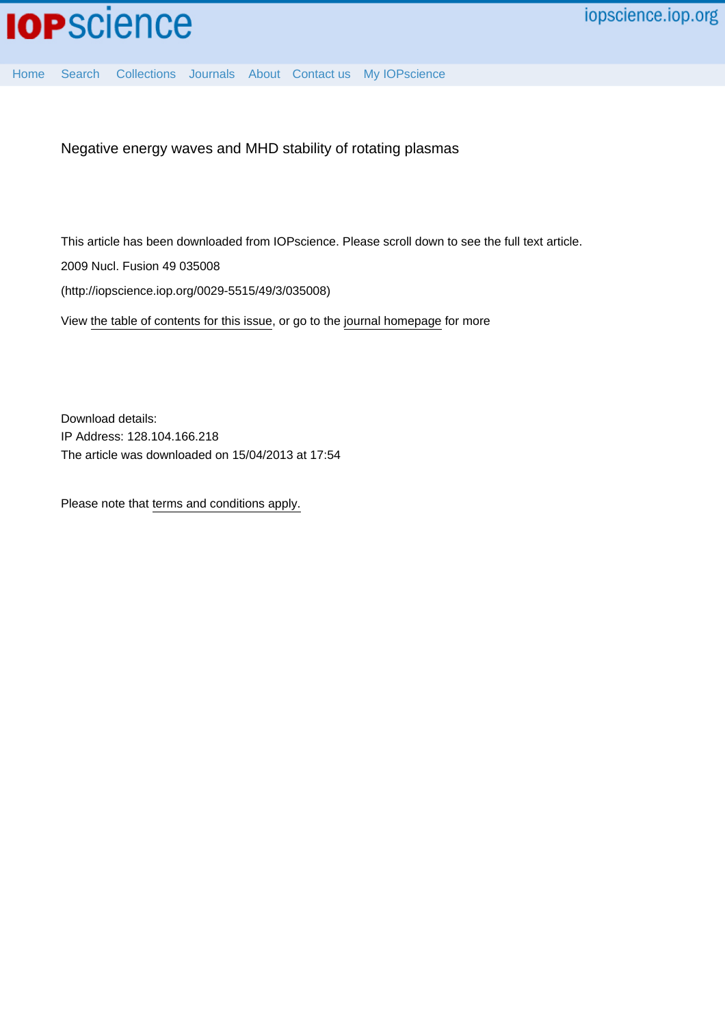

[Home](http://iopscience.iop.org/) [Search](http://iopscience.iop.org/search) [Collections](http://iopscience.iop.org/collections) [Journals](http://iopscience.iop.org/journals) [About](http://iopscience.iop.org/page/aboutioppublishing) [Contact us](http://iopscience.iop.org/contact) [My IOPscience](http://iopscience.iop.org/myiopscience)

Negative energy waves and MHD stability of rotating plasmas

This article has been downloaded from IOPscience. Please scroll down to see the full text article.

2009 Nucl. Fusion 49 035008

(http://iopscience.iop.org/0029-5515/49/3/035008)

View [the table of contents for this issue](http://iopscience.iop.org/0029-5515/49/3), or go to the [journal homepage](http://iopscience.iop.org/0029-5515) for more

Download details: IP Address: 128.104.166.218 The article was downloaded on 15/04/2013 at 17:54

Please note that [terms and conditions apply.](http://iopscience.iop.org/page/terms)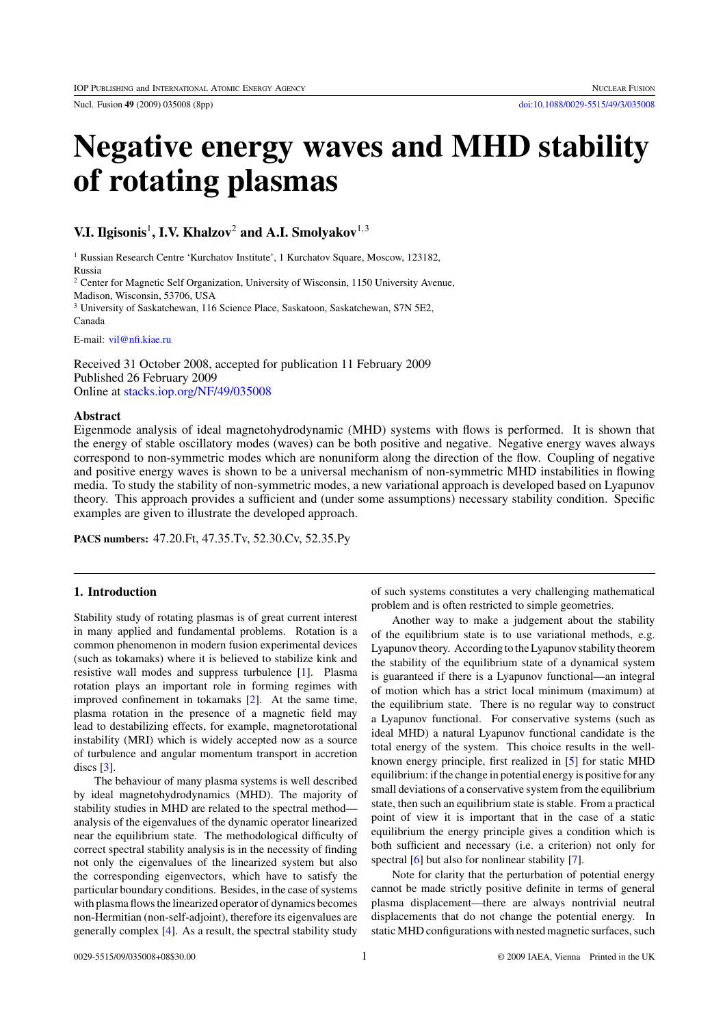Nucl. Fusion **49** (2009) 035008 (8pp) [doi:10.1088/0029-5515/49/3/035008](http://dx.doi.org/10.1088/0029-5515/49/3/035008)

# **Negative energy waves and MHD stability of rotating plasmas**

## **V.I. Ilgisonis**<sup>1</sup>**, I.V. Khalzov**<sup>2</sup> **and A.I. Smolyakov**<sup>1</sup>*,*<sup>3</sup>

<sup>1</sup> Russian Research Centre 'Kurchatov Institute', 1 Kurchatov Square, Moscow, 123182, Russia

<sup>2</sup> Center for Magnetic Self Organization, University of Wisconsin, 1150 University Avenue,

Madison, Wisconsin, 53706, USA

<sup>3</sup> University of Saskatchewan, 116 Science Place, Saskatoon, Saskatchewan, S7N 5E2, Canada

E-mail: [vil@nfi.kiae.ru](mailto: vil@nfi.kiae.ru)

Received 31 October 2008, accepted for publication 11 February 2009 Published 26 February 2009 Online at [stacks.iop.org/NF/49/035008](http://stacks.iop.org/NF/49/035008)

## **Abstract**

Eigenmode analysis of ideal magnetohydrodynamic (MHD) systems with flows is performed. It is shown that the energy of stable oscillatory modes (waves) can be both positive and negative. Negative energy waves always correspond to non-symmetric modes which are nonuniform along the direction of the flow. Coupling of negative and positive energy waves is shown to be a universal mechanism of non-symmetric MHD instabilities in flowing media. To study the stability of non-symmetric modes, a new variational approach is developed based on Lyapunov theory. This approach provides a sufficient and (under some assumptions) necessary stability condition. Specific examples are given to illustrate the developed approach.

**PACS numbers:** 47.20.Ft, 47.35.Tv, 52.30.Cv, 52.35.Py

## **1. Introduction**

Stability study of rotating plasmas is of great current interest in many applied and fundamental problems. Rotation is a common phenomenon in modern fusion experimental devices (such as tokamaks) where it is believed to stabilize kink and resistive wall modes and suppress turbulence [\[1\]](#page-8-0). Plasma rotation plays an important role in forming regimes with improved confinement in tokamaks [\[2\]](#page-8-0). At the same time, plasma rotation in the presence of a magnetic field may lead to destabilizing effects, for example, magnetorotational instability (MRI) which is widely accepted now as a source of turbulence and angular momentum transport in accretion discs [\[3\]](#page-8-0).

The behaviour of many plasma systems is well described by ideal magnetohydrodynamics (MHD). The majority of stability studies in MHD are related to the spectral method analysis of the eigenvalues of the dynamic operator linearized near the equilibrium state. The methodological difficulty of correct spectral stability analysis is in the necessity of finding not only the eigenvalues of the linearized system but also the corresponding eigenvectors, which have to satisfy the particular boundary conditions. Besides, in the case of systems with plasma flows the linearized operator of dynamics becomes non-Hermitian (non-self-adjoint), therefore its eigenvalues are generally complex [\[4\]](#page-8-0). As a result, the spectral stability study of such systems constitutes a very challenging mathematical problem and is often restricted to simple geometries.

Another way to make a judgement about the stability of the equilibrium state is to use variational methods, e.g. Lyapunov theory. According to the Lyapunov stability theorem the stability of the equilibrium state of a dynamical system is guaranteed if there is a Lyapunov functional—an integral of motion which has a strict local minimum (maximum) at the equilibrium state. There is no regular way to construct a Lyapunov functional. For conservative systems (such as ideal MHD) a natural Lyapunov functional candidate is the total energy of the system. This choice results in the wellknown energy principle, first realized in [\[5\]](#page-8-0) for static MHD equilibrium: if the change in potential energy is positive for any small deviations of a conservative system from the equilibrium state, then such an equilibrium state is stable. From a practical point of view it is important that in the case of a static equilibrium the energy principle gives a condition which is both sufficient and necessary (i.e. a criterion) not only for spectral [\[6\]](#page-8-0) but also for nonlinear stability [\[7\]](#page-8-0).

Note for clarity that the perturbation of potential energy cannot be made strictly positive definite in terms of general plasma displacement—there are always nontrivial neutral displacements that do not change the potential energy. In static MHD configurations with nested magnetic surfaces, such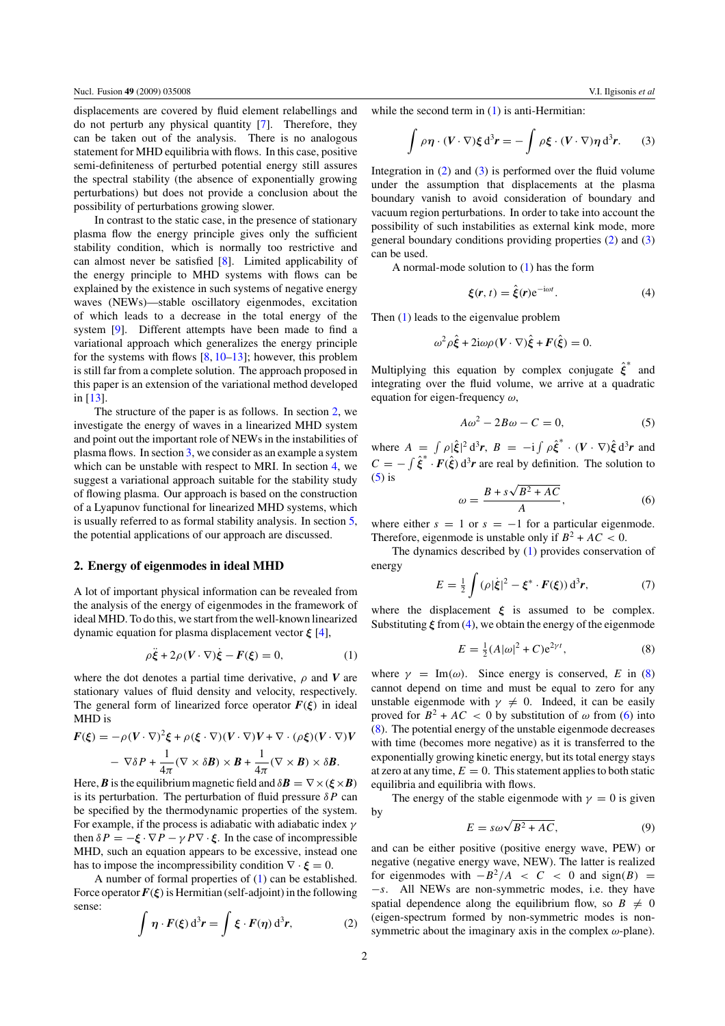<span id="page-2-0"></span>displacements are covered by fluid element relabellings and do not perturb any physical quantity [\[7\]](#page-8-0). Therefore, they can be taken out of the analysis. There is no analogous statement for MHD equilibria with flows. In this case, positive semi-definiteness of perturbed potential energy still assures the spectral stability (the absence of exponentially growing perturbations) but does not provide a conclusion about the possibility of perturbations growing slower.

In contrast to the static case, in the presence of stationary plasma flow the energy principle gives only the sufficient stability condition, which is normally too restrictive and can almost never be satisfied [\[8\]](#page-8-0). Limited applicability of the energy principle to MHD systems with flows can be explained by the existence in such systems of negative energy waves (NEWs)—stable oscillatory eigenmodes, excitation of which leads to a decrease in the total energy of the system [\[9\]](#page-8-0). Different attempts have been made to find a variational approach which generalizes the energy principle for the systems with flows  $[8, 10-13]$  $[8, 10-13]$ ; however, this problem is still far from a complete solution. The approach proposed in this paper is an extension of the variational method developed in [\[13\]](#page-8-0).

The structure of the paper is as follows. In section 2, we investigate the energy of waves in a linearized MHD system and point out the important role of NEWs in the instabilities of plasma flows. In section [3,](#page-3-0) we consider as an example a system which can be unstable with respect to MRI. In section [4,](#page-4-0) we suggest a variational approach suitable for the stability study of flowing plasma. Our approach is based on the construction of a Lyapunov functional for linearized MHD systems, which is usually referred to as formal stability analysis. In section [5,](#page-7-0) the potential applications of our approach are discussed.

#### **2. Energy of eigenmodes in ideal MHD**

A lot of important physical information can be revealed from the analysis of the energy of eigenmodes in the framework of ideal MHD. To do this, we start from the well-known linearized dynamic equation for plasma displacement vector *ξ* [\[4\]](#page-8-0),

$$
\rho \ddot{\xi} + 2\rho (V \cdot \nabla) \dot{\xi} - F(\xi) = 0, \qquad (1)
$$

where the dot denotes a partial time derivative,  $\rho$  and *V* are stationary values of fluid density and velocity, respectively. The general form of linearized force operator  $F(\xi)$  in ideal MHD is

$$
F(\xi) = -\rho (V \cdot \nabla)^2 \xi + \rho (\xi \cdot \nabla) (V \cdot \nabla) V + \nabla \cdot (\rho \xi) (V \cdot \nabla) V
$$

$$
- \nabla \delta P + \frac{1}{4\pi} (\nabla \times \delta \mathbf{B}) \times \mathbf{B} + \frac{1}{4\pi} (\nabla \times \mathbf{B}) \times \delta \mathbf{B}.
$$

Here, *B* is the equilibrium magnetic field and  $\delta \mathbf{B} = \nabla \times (\xi \times \mathbf{B})$ is its perturbation. The perturbation of fluid pressure *δP* can be specified by the thermodynamic properties of the system. For example, if the process is adiabatic with adiabatic index *γ* then  $\delta P = -\xi \cdot \nabla P - \gamma P \nabla \cdot \xi$ . In the case of incompressible MHD, such an equation appears to be excessive, instead one has to impose the incompressibility condition  $\nabla \cdot \boldsymbol{\xi} = 0$ .

A number of formal properties of (1) can be established. Force operator  $F(\xi)$  is Hermitian (self-adjoint) in the following sense:

$$
\int \eta \cdot F(\xi) d^3 r = \int \xi \cdot F(\eta) d^3 r,
$$
 (2)

while the second term in (1) is anti-Hermitian:

$$
\int \rho \eta \cdot (V \cdot \nabla) \xi \, d^3 r = - \int \rho \xi \cdot (V \cdot \nabla) \eta \, d^3 r. \qquad (3)
$$

Integration in  $(2)$  and  $(3)$  is performed over the fluid volume under the assumption that displacements at the plasma boundary vanish to avoid consideration of boundary and vacuum region perturbations. In order to take into account the possibility of such instabilities as external kink mode, more general boundary conditions providing properties (2) and (3) can be used.

A normal-mode solution to (1) has the form

$$
\xi(r,t) = \hat{\xi}(r)e^{-i\omega t}.
$$
 (4)

Then (1) leads to the eigenvalue problem

$$
\omega^2 \rho \hat{\xi} + 2i\omega \rho (V \cdot \nabla) \hat{\xi} + F(\hat{\xi}) = 0.
$$

Multiplying this equation by complex conjugate *ξ*ˆ <sup>∗</sup> and integrating over the fluid volume, we arrive at a quadratic equation for eigen-frequency *ω*,

$$
A\omega^2 - 2B\omega - C = 0,\t\t(5)
$$

where  $A = \int \rho |\hat{\xi}|^2 d^3 r$ ,  $B = -i \int \rho \hat{\xi}^* \cdot (V \cdot \nabla) \hat{\xi} d^3 r$  and  $C = -\int \hat{\xi}^* \cdot \vec{F}(\hat{\xi}) d^3r$  are real by definition. The solution to  $(5)$  is √

$$
\omega = \frac{B + s\sqrt{B^2 + AC}}{A},\tag{6}
$$

where either  $s = 1$  or  $s = -1$  for a particular eigenmode. Therefore, eigenmode is unstable only if  $B^2 + AC < 0$ .

The dynamics described by (1) provides conservation of energy

$$
E = \frac{1}{2} \int (\rho |\dot{\xi}|^2 - \xi^* \cdot F(\xi)) d^3 r, \tag{7}
$$

where the displacement  $\xi$  is assumed to be complex. Substituting *ξ* from (4), we obtain the energy of the eigenmode

$$
E = \frac{1}{2}(A|\omega|^2 + C)e^{2\gamma t},
$$
 (8)

where  $\gamma = \text{Im}(\omega)$ . Since energy is conserved, *E* in (8) cannot depend on time and must be equal to zero for any unstable eigenmode with  $\gamma \neq 0$ . Indeed, it can be easily proved for  $B^2 + AC < 0$  by substitution of  $\omega$  from (6) into (8). The potential energy of the unstable eigenmode decreases with time (becomes more negative) as it is transferred to the exponentially growing kinetic energy, but its total energy stays at zero at any time,  $E = 0$ . This statement applies to both static equilibria and equilibria with flows.

The energy of the stable eigenmode with  $\gamma = 0$  is given by

$$
E = s\omega\sqrt{B^2 + AC},\tag{9}
$$

and can be either positive (positive energy wave, PEW) or negative (negative energy wave, NEW). The latter is realized for eigenmodes with  $-B^2/A < C < 0$  and sign(B) = −*s*. All NEWs are non-symmetric modes, i.e. they have spatial dependence along the equilibrium flow, so  $B \neq 0$ (eigen-spectrum formed by non-symmetric modes is nonsymmetric about the imaginary axis in the complex *ω*-plane).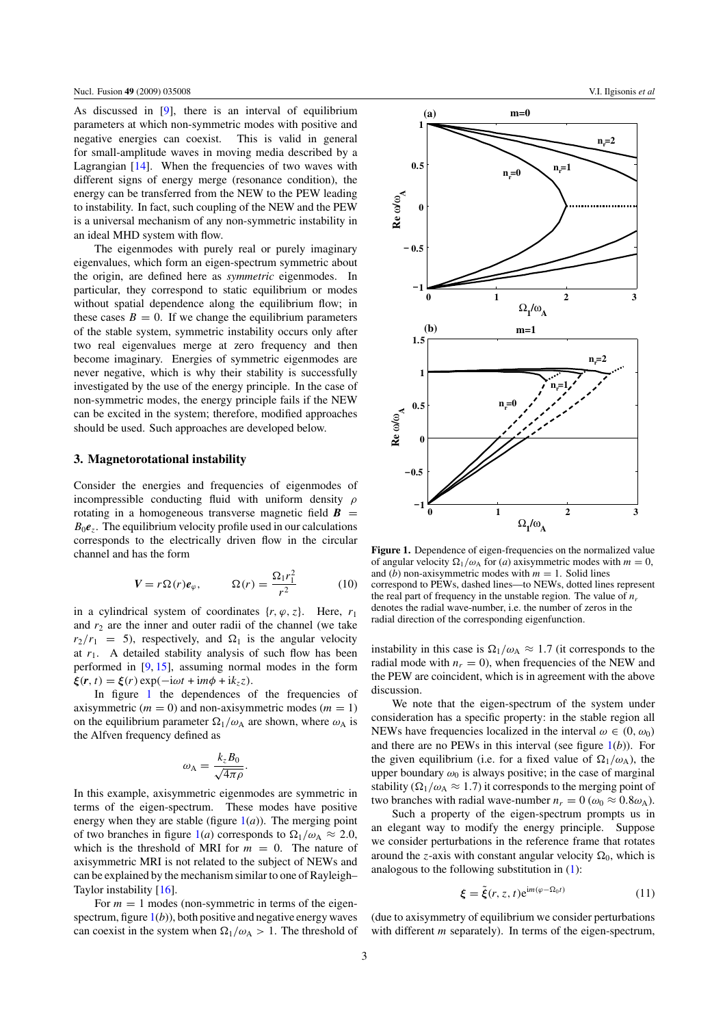<span id="page-3-0"></span>As discussed in [\[9\]](#page-8-0), there is an interval of equilibrium parameters at which non-symmetric modes with positive and negative energies can coexist. This is valid in general for small-amplitude waves in moving media described by a Lagrangian [\[14\]](#page-8-0). When the frequencies of two waves with different signs of energy merge (resonance condition), the energy can be transferred from the NEW to the PEW leading to instability. In fact, such coupling of the NEW and the PEW is a universal mechanism of any non-symmetric instability in an ideal MHD system with flow.

The eigenmodes with purely real or purely imaginary eigenvalues, which form an eigen-spectrum symmetric about the origin, are defined here as *symmetric* eigenmodes. In particular, they correspond to static equilibrium or modes without spatial dependence along the equilibrium flow; in these cases  $B = 0$ . If we change the equilibrium parameters of the stable system, symmetric instability occurs only after two real eigenvalues merge at zero frequency and then become imaginary. Energies of symmetric eigenmodes are never negative, which is why their stability is successfully investigated by the use of the energy principle. In the case of non-symmetric modes, the energy principle fails if the NEW can be excited in the system; therefore, modified approaches should be used. Such approaches are developed below.

## **3. Magnetorotational instability**

Consider the energies and frequencies of eigenmodes of incompressible conducting fluid with uniform density *ρ* rotating in a homogeneous transverse magnetic field  $\mathbf{B}$  =  $B_0e_z$ . The equilibrium velocity profile used in our calculations corresponds to the electrically driven flow in the circular channel and has the form

$$
V = r\Omega(r)e_{\varphi}, \qquad \Omega(r) = \frac{\Omega_1 r_1^2}{r^2} \qquad (10)
$$

in a cylindrical system of coordinates  $\{r, \varphi, z\}$ . Here,  $r_1$ and  $r_2$  are the inner and outer radii of the channel (we take  $r_2/r_1 = 5$ , respectively, and  $\Omega_1$  is the angular velocity at  $r_1$ . A detailed stability analysis of such flow has been performed in [\[9,](#page-8-0) [15\]](#page-8-0), assuming normal modes in the form  $\boldsymbol{\xi}(\mathbf{r},t) = \boldsymbol{\xi}(r) \exp(-i\omega t + i m \phi + i k_z z)$ .

In figure 1 the dependences of the frequencies of axisymmetric  $(m = 0)$  and non-axisymmetric modes  $(m = 1)$ on the equilibrium parameter  $\Omega_1/\omega_A$  are shown, where  $\omega_A$  is the Alfven frequency defined as

$$
\omega_{\rm A} = \frac{k_z B_0}{\sqrt{4\pi\rho}}.
$$

In this example, axisymmetric eigenmodes are symmetric in terms of the eigen-spectrum. These modes have positive energy when they are stable (figure  $1(a)$ ). The merging point of two branches in figure 1(*a*) corresponds to  $\Omega_1/\omega_A \approx 2.0$ , which is the threshold of MRI for  $m = 0$ . The nature of axisymmetric MRI is not related to the subject of NEWs and can be explained by the mechanism similar to one of Rayleigh– Taylor instability [\[16\]](#page-8-0).

For  $m = 1$  modes (non-symmetric in terms of the eigenspectrum, figure  $1(b)$ ), both positive and negative energy waves can coexist in the system when  $\Omega_1/\omega_A > 1$ . The threshold of



**Figure 1.** Dependence of eigen-frequencies on the normalized value of angular velocity  $\Omega_1/\omega_A$  for (*a*) axisymmetric modes with  $m = 0$ , and (*b*) non-axisymmetric modes with  $m = 1$ . Solid lines correspond to PEWs, dashed lines—to NEWs, dotted lines represent the real part of frequency in the unstable region. The value of  $n_r$ denotes the radial wave-number, i.e. the number of zeros in the radial direction of the corresponding eigenfunction.

instability in this case is  $\Omega_1/\omega_A \approx 1.7$  (it corresponds to the radial mode with  $n_r = 0$ , when frequencies of the NEW and the PEW are coincident, which is in agreement with the above discussion.

We note that the eigen-spectrum of the system under consideration has a specific property: in the stable region all NEWs have frequencies localized in the interval  $\omega \in (0, \omega_0)$ and there are no PEWs in this interval (see figure 1(*b*)). For the given equilibrium (i.e. for a fixed value of  $\Omega_1/\omega_A$ ), the upper boundary  $\omega_0$  is always positive; in the case of marginal stability  $(\Omega_1/\omega_A \approx 1.7)$  it corresponds to the merging point of two branches with radial wave-number  $n_r = 0$  ( $\omega_0 \approx 0.8 \omega_A$ ).

Such a property of the eigen-spectrum prompts us in an elegant way to modify the energy principle. Suppose we consider perturbations in the reference frame that rotates around the *z*-axis with constant angular velocity  $\Omega_0$ , which is analogous to the following substitution in [\(1\)](#page-2-0):

$$
\xi = \tilde{\xi}(r, z, t) e^{im(\varphi - \Omega_0 t)} \tag{11}
$$

(due to axisymmetry of equilibrium we consider perturbations with different *m* separately). In terms of the eigen-spectrum,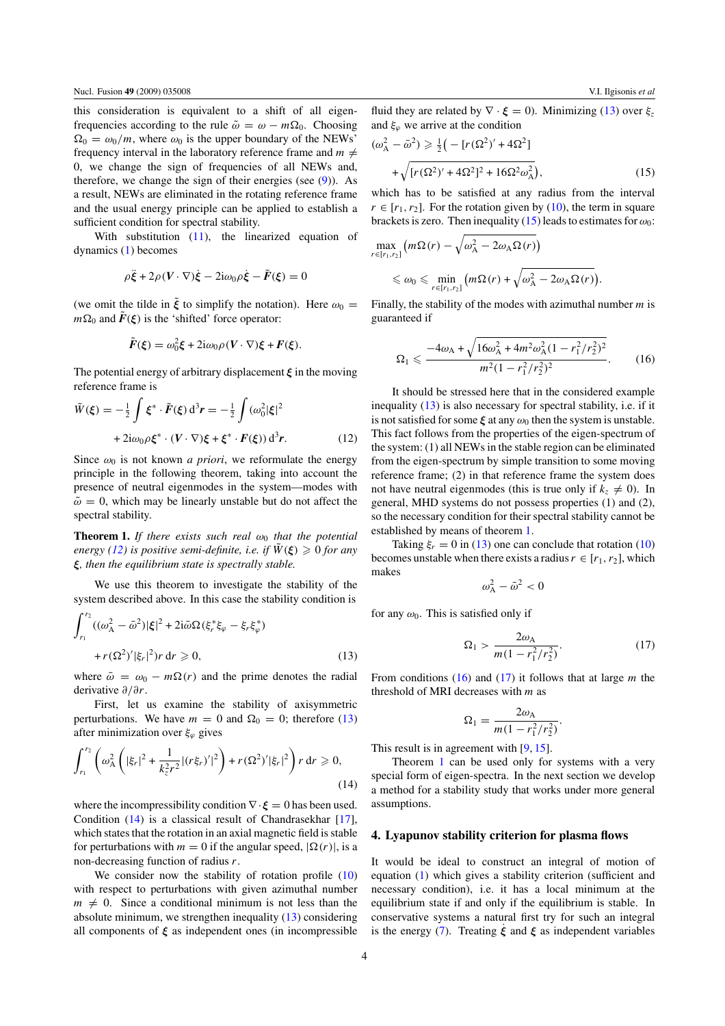<span id="page-4-0"></span>this consideration is equivalent to a shift of all eigenfrequencies according to the rule  $\tilde{\omega} = \omega - m\Omega_0$ . Choosing  $\Omega_0 = \omega_0/m$ , where  $\omega_0$  is the upper boundary of the NEWs' frequency interval in the laboratory reference frame and  $m \neq$ 0, we change the sign of frequencies of all NEWs and, therefore, we change the sign of their energies (see  $(9)$ ). As a result, NEWs are eliminated in the rotating reference frame and the usual energy principle can be applied to establish a sufficient condition for spectral stability.

With substitution  $(11)$ , the linearized equation of dynamics [\(1\)](#page-2-0) becomes

$$
\rho \ddot{\xi} + 2\rho (V \cdot \nabla) \dot{\xi} - 2i\omega_0 \rho \dot{\xi} - \tilde{F}(\xi) = 0
$$

(we omit the tilde in  $\tilde{\xi}$  to simplify the notation). Here  $\omega_0 =$  $m\Omega_0$  and  $\vec{F}(\xi)$  is the 'shifted' force operator:

$$
\tilde{F}(\xi) = \omega_0^2 \xi + 2i\omega_0 \rho (V \cdot \nabla) \xi + F(\xi).
$$

The potential energy of arbitrary displacement *ξ* in the moving reference frame is

$$
\tilde{W}(\xi) = -\frac{1}{2} \int \xi^* \cdot \tilde{F}(\xi) d^3 r = -\frac{1}{2} \int (\omega_0^2 |\xi|^2 + 2i\omega_0 \rho \xi^* \cdot (V \cdot \nabla) \xi + \xi^* \cdot F(\xi)) d^3 r.
$$
\n(12)

Since  $\omega_0$  is not known *a priori*, we reformulate the energy principle in the following theorem, taking into account the presence of neutral eigenmodes in the system—modes with  $\tilde{\omega} = 0$ , which may be linearly unstable but do not affect the spectral stability.

**Theorem 1.** *If there exists such real*  $\omega_0$  *that the potential energy* [\(12\)](#page-3-0) *is positive semi-definite, i.e. if*  $W(\xi) \geq 0$  *for any ξ, then the equilibrium state is spectrally stable.*

We use this theorem to investigate the stability of the system described above. In this case the stability condition is

$$
\int_{r_1}^{r_2} ((\omega_A^2 - \bar{\omega}^2) |\xi|^2 + 2i \bar{\omega} \Omega (\xi_r^* \xi_\varphi - \xi_r \xi_\varphi^*) + r (\Omega^2)' |\xi_r|^2) r \, dr \ge 0,
$$
\n(13)

where  $\bar{\omega} = \omega_0 - m\Omega(r)$  and the prime denotes the radial derivative *∂/∂r*.

First, let us examine the stability of axisymmetric perturbations. We have  $m = 0$  and  $\Omega_0 = 0$ ; therefore (13) after minimization over *ξϕ* gives

$$
\int_{r_1}^{r_2} \left( \omega_A^2 \left( |\xi_r|^2 + \frac{1}{k_z^2 r^2} |(r \xi_r)'|^2 \right) + r (\Omega^2)' |\xi_r|^2 \right) r \, dr \ge 0,
$$
\n(14)

where the incompressibility condition  $\nabla \cdot \boldsymbol{\xi} = 0$  has been used. Condition (14) is a classical result of Chandrasekhar [\[17\]](#page-8-0), which states that the rotation in an axial magnetic field is stable for perturbations with  $m = 0$  if the angular speed,  $|\Omega(r)|$ , is a non-decreasing function of radius *r*.

We consider now the stability of rotation profile [\(10\)](#page-3-0) with respect to perturbations with given azimuthal number  $m \neq 0$ . Since a conditional minimum is not less than the absolute minimum, we strengthen inequality (13) considering all components of  $\xi$  as independent ones (in incompressible

fluid they are related by  $\nabla \cdot \boldsymbol{\xi} = 0$ ). Minimizing (13) over  $\xi_z$ and  $\xi_{\varphi}$  we arrive at the condition

$$
(\omega_{\rm A}^2 - \bar{\omega}^2) \ge \frac{1}{2} \left( -\left[ r(\Omega^2)' + 4\Omega^2 \right] + \sqrt{\left[ r(\Omega^2)' + 4\Omega^2 \right]^2 + 16\Omega^2 \omega_{\rm A}^2} \right),\tag{15}
$$

which has to be satisfied at any radius from the interval  $r \in [r_1, r_2]$ . For the rotation given by [\(10\)](#page-3-0), the term in square brackets is zero. Then inequality (15) leads to estimates for  $\omega_0$ :

$$
\max_{r \in [r_1, r_2]} (m\Omega(r) - \sqrt{\omega_{\rm A}^2 - 2\omega_{\rm A}\Omega(r)})
$$
  
\$\leq \omega\_0 \leq \min\_{r \in [r\_1, r\_2]} (m\Omega(r) + \sqrt{\omega\_{\rm A}^2 - 2\omega\_{\rm A}\Omega(r)})\$.

Finally, the stability of the modes with azimuthal number *m* is guaranteed if

$$
\Omega_1 \leqslant \frac{-4\omega_A + \sqrt{16\omega_A^2 + 4m^2\omega_A^2(1 - r_1^2/r_2^2)^2}}{m^2(1 - r_1^2/r_2^2)^2}.
$$
 (16)

It should be stressed here that in the considered example inequality (13) is also necessary for spectral stability, i.e. if it is not satisfied for some  $\xi$  at any  $\omega_0$  then the system is unstable. This fact follows from the properties of the eigen-spectrum of the system: (1) all NEWs in the stable region can be eliminated from the eigen-spectrum by simple transition to some moving reference frame; (2) in that reference frame the system does not have neutral eigenmodes (this is true only if  $k_z \neq 0$ ). In general, MHD systems do not possess properties (1) and (2), so the necessary condition for their spectral stability cannot be established by means of theorem 1.

Taking  $\xi_r = 0$  in (13) one can conclude that rotation [\(10\)](#page-3-0) becomes unstable when there exists a radius  $r \in [r_1, r_2]$ , which makes

$$
\omega_{\rm A}^2 - \bar{\omega}^2 < 0
$$

for any  $\omega_0$ . This is satisfied only if

$$
\Omega_1 > \frac{2\omega_A}{m(1 - r_1^2/r_2^2)}.\tag{17}
$$

From conditions (16) and (17) it follows that at large *m* the threshold of MRI decreases with *m* as

$$
\Omega_1 = \frac{2\omega_{\rm A}}{m(1 - r_1^2/r_2^2)}.
$$

This result is in agreement with [\[9,](#page-8-0) [15\]](#page-8-0).

Theorem 1 can be used only for systems with a very special form of eigen-spectra. In the next section we develop a method for a stability study that works under more general assumptions.

## **4. Lyapunov stability criterion for plasma flows**

It would be ideal to construct an integral of motion of equation [\(1\)](#page-2-0) which gives a stability criterion (sufficient and necessary condition), i.e. it has a local minimum at the equilibrium state if and only if the equilibrium is stable. In conservative systems a natural first try for such an integral is the energy [\(7\)](#page-2-0). Treating *ξ*˙ and *ξ* as independent variables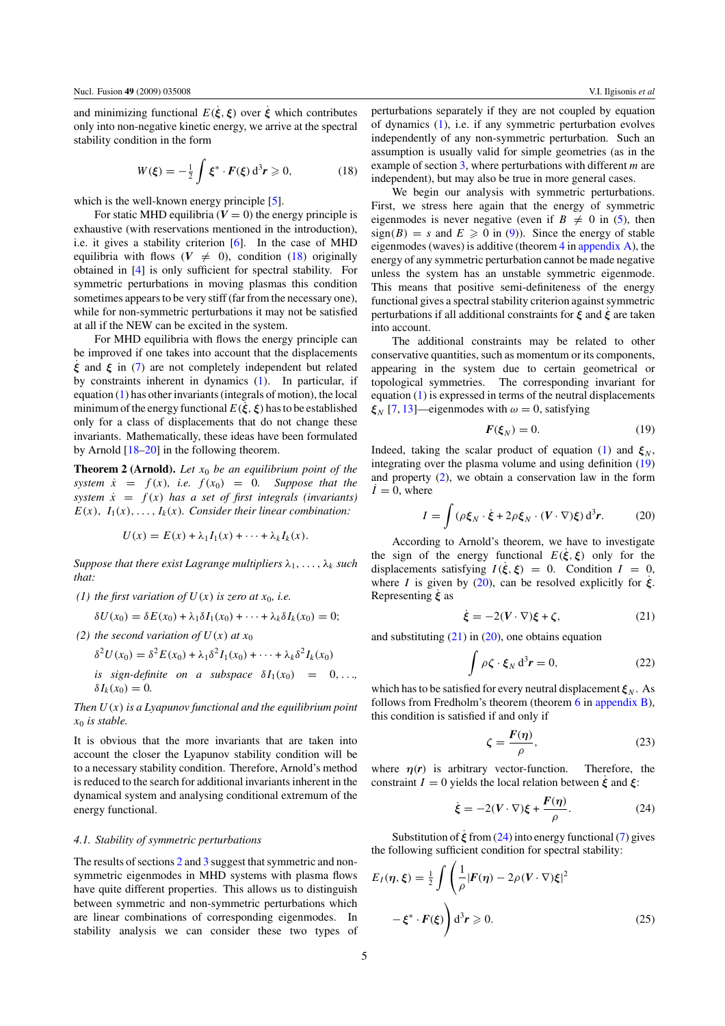<span id="page-5-0"></span>and minimizing functional  $E(\xi, \xi)$  over  $\xi$  which contributes only into non-negative kinetic energy, we arrive at the spectral stability condition in the form

$$
W(\xi) = -\frac{1}{2} \int \xi^* \cdot F(\xi) d^3 r \geqslant 0,
$$
 (18)

which is the well-known energy principle [\[5\]](#page-8-0).

For static MHD equilibria  $(V = 0)$  the energy principle is exhaustive (with reservations mentioned in the introduction), i.e. it gives a stability criterion [\[6\]](#page-8-0). In the case of MHD equilibria with flows  $(V \neq 0)$ , condition (18) originally obtained in [\[4\]](#page-8-0) is only sufficient for spectral stability. For symmetric perturbations in moving plasmas this condition sometimes appears to be very stiff (far from the necessary one), while for non-symmetric perturbations it may not be satisfied at all if the NEW can be excited in the system.

For MHD equilibria with flows the energy principle can be improved if one takes into account that the displacements *ξ*˙ and *ξ* in [\(7\)](#page-2-0) are not completely independent but related by constraints inherent in dynamics [\(1\)](#page-2-0). In particular, if equation [\(1\)](#page-2-0) has other invariants (integrals of motion), the local minimum of the energy functional  $E(\xi, \xi)$  has to be established only for a class of displacements that do not change these invariants. Mathematically, these ideas have been formulated by Arnold [\[18–20\]](#page-8-0) in the following theorem.

**Theorem 2 (Arnold).** *Let x*<sup>0</sup> *be an equilibrium point of the system*  $\dot{x} = f(x)$ *, i.e.*  $f(x_0) = 0$ *. Suppose that the system*  $\dot{x} = f(x)$  *has a set of first integrals (invariants)*  $E(x)$ ,  $I_1(x)$ , ...,  $I_k(x)$ *. Consider their linear combination:* 

$$
U(x) = E(x) + \lambda_1 I_1(x) + \cdots + \lambda_k I_k(x).
$$

*Suppose that there exist Lagrange multipliers*  $\lambda_1, \ldots, \lambda_k$  *such that:*

*(1) the first variation of*  $U(x)$  *is zero at*  $x_0$ *, i.e.* 

$$
\delta U(x_0) = \delta E(x_0) + \lambda_1 \delta I_1(x_0) + \cdots + \lambda_k \delta I_k(x_0) = 0;
$$

*(2) the second variation of*  $U(x)$  *at*  $x_0$ 

$$
\delta^2 U(x_0) = \delta^2 E(x_0) + \lambda_1 \delta^2 I_1(x_0) + \dots + \lambda_k \delta^2 I_k(x_0)
$$
  
is sign-definite on a subspace  $\delta I_1(x_0) = 0, \dots, \delta I_k(x_0) = 0$ .

*Then U (x) is a Lyapunov functional and the equilibrium point x*<sup>0</sup> *is stable.*

It is obvious that the more invariants that are taken into account the closer the Lyapunov stability condition will be to a necessary stability condition. Therefore, Arnold's method is reduced to the search for additional invariants inherent in the dynamical system and analysing conditional extremum of the energy functional.

#### *4.1. Stability of symmetric perturbations*

The results of sections [2](#page-2-0) and [3](#page-3-0) suggest that symmetric and nonsymmetric eigenmodes in MHD systems with plasma flows have quite different properties. This allows us to distinguish between symmetric and non-symmetric perturbations which are linear combinations of corresponding eigenmodes. In stability analysis we can consider these two types of perturbations separately if they are not coupled by equation of dynamics [\(1\)](#page-2-0), i.e. if any symmetric perturbation evolves independently of any non-symmetric perturbation. Such an assumption is usually valid for simple geometries (as in the example of section [3,](#page-3-0) where perturbations with different *m* are independent), but may also be true in more general cases.

We begin our analysis with symmetric perturbations. First, we stress here again that the energy of symmetric eigenmodes is never negative (even if  $B \neq 0$  in [\(5\)](#page-2-0), then  $sign(B) = s$  and  $E \ge 0$  in [\(9\)](#page-2-0)). Since the energy of stable eigenmodes (waves) is additive (theorem [4](#page-7-0) in [appendix A\)](#page-7-0), the energy of any symmetric perturbation cannot be made negative unless the system has an unstable symmetric eigenmode. This means that positive semi-definiteness of the energy functional gives a spectral stability criterion against symmetric perturbations if all additional constraints for *ξ* and *ξ*˙ are taken into account.

The additional constraints may be related to other conservative quantities, such as momentum or its components, appearing in the system due to certain geometrical or topological symmetries. The corresponding invariant for equation [\(1\)](#page-2-0) is expressed in terms of the neutral displacements  $\xi_N$  [\[7,](#page-8-0) [13\]](#page-8-0)—eigenmodes with  $\omega = 0$ , satisfying

$$
F(\xi_N) = 0. \tag{19}
$$

Indeed, taking the scalar product of equation [\(1\)](#page-2-0) and  $\xi_N$ , integrating over the plasma volume and using definition (19) and property  $(2)$ , we obtain a conservation law in the form  $\dot{I} = 0$ , where

$$
I = \int (\rho \xi_N \cdot \dot{\xi} + 2\rho \xi_N \cdot (V \cdot \nabla) \xi) d^3 r.
$$
 (20)

According to Arnold's theorem, we have to investigate the sign of the energy functional  $E(\dot{\xi}, \xi)$  only for the displacements satisfying  $I(\xi, \xi) = 0$ . Condition  $I = 0$ , where *I* is given by (20), can be resolved explicitly for  $\dot{\xi}$ . Representing *ξ*˙ as

$$
\dot{\xi} = -2(V \cdot \nabla)\xi + \zeta,\tag{21}
$$

and substituting  $(21)$  in  $(20)$ , one obtains equation

$$
\int \rho \zeta \cdot \xi_N d^3 r = 0, \qquad (22)
$$

which has to be satisfied for every neutral displacement  $\xi_N$ . As follows from Fredholm's theorem (theorem [6](#page-8-0) in [appendix B\)](#page-8-0), this condition is satisfied if and only if

$$
\zeta = \frac{F(\eta)}{\rho},\tag{23}
$$

where  $\eta(r)$  is arbitrary vector-function. Therefore, the constraint  $I = 0$  yields the local relation between  $\xi$  and  $\xi$ :

$$
\dot{\xi} = -2(V \cdot \nabla)\xi + \frac{F(\eta)}{\rho}.
$$
 (24)

Substitution of *ξ*˙ from (24) into energy functional [\(7\)](#page-2-0) gives the following sufficient condition for spectral stability:

$$
E_I(\eta, \xi) = \frac{1}{2} \int \left( \frac{1}{\rho} |F(\eta) - 2\rho (V \cdot \nabla) \xi|^2 - \xi^* \cdot F(\xi) \right) d^3 r \ge 0.
$$
 (25)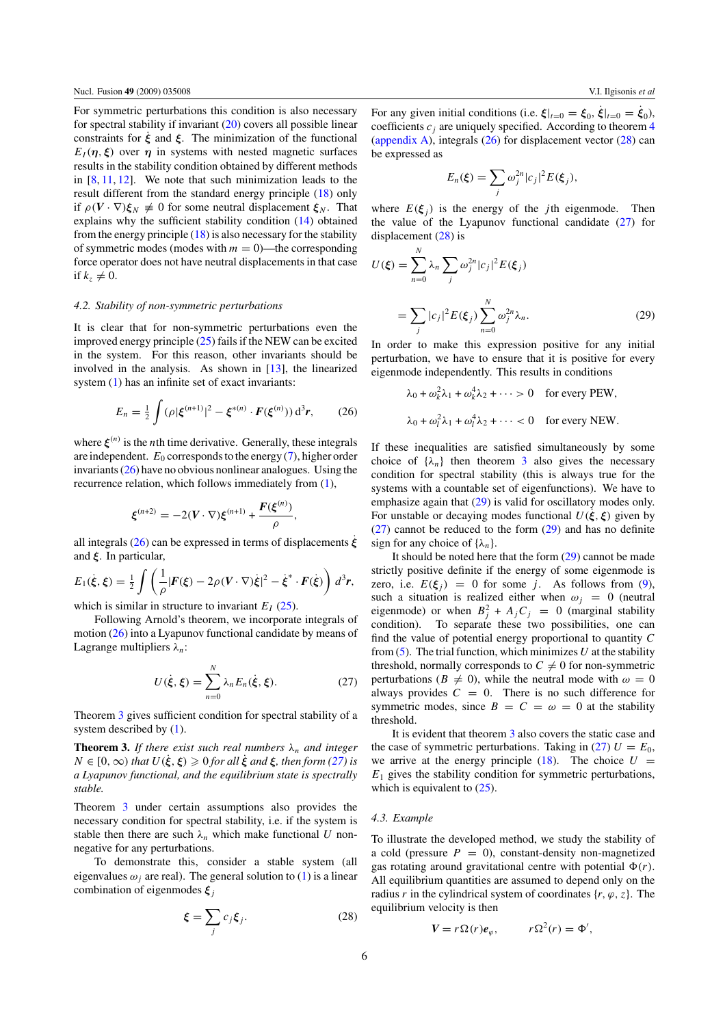<span id="page-6-0"></span>For symmetric perturbations this condition is also necessary for spectral stability if invariant [\(20\)](#page-5-0) covers all possible linear constraints for  $\dot{\xi}$  and  $\xi$ . The minimization of the functional *E<sub>I</sub>*( $\eta$ ,  $\xi$ ) over  $\eta$  in systems with nested magnetic surfaces results in the stability condition obtained by different methods in  $[8, 11, 12]$  $[8, 11, 12]$  $[8, 11, 12]$  $[8, 11, 12]$  $[8, 11, 12]$ . We note that such minimization leads to the result different from the standard energy principle [\(18\)](#page-5-0) only if  $\rho(V \cdot \nabla) \xi_N \neq 0$  for some neutral displacement  $\xi_N$ . That explains why the sufficient stability condition [\(14\)](#page-4-0) obtained from the energy principle  $(18)$  is also necessary for the stability of symmetric modes (modes with  $m = 0$ )—the corresponding force operator does not have neutral displacements in that case if  $k_z \neq 0$ .

#### *4.2. Stability of non-symmetric perturbations*

It is clear that for non-symmetric perturbations even the improved energy principle [\(25\)](#page-5-0) fails if the NEW can be excited in the system. For this reason, other invariants should be involved in the analysis. As shown in [\[13\]](#page-8-0), the linearized system [\(1\)](#page-2-0) has an infinite set of exact invariants:

$$
E_n = \frac{1}{2} \int (\rho |\xi^{(n+1)}|^2 - \xi^{*(n)} \cdot F(\xi^{(n)})) d^3 r, \qquad (26)
$$

where  $\xi^{(n)}$  is the *n*th time derivative. Generally, these integrals are independent.  $E_0$  corresponds to the energy [\(7\)](#page-2-0), higher order invariants (26) have no obvious nonlinear analogues. Using the recurrence relation, which follows immediately from [\(1\)](#page-2-0),

$$
\xi^{(n+2)} = -2(V \cdot \nabla) \xi^{(n+1)} + \frac{F(\xi^{(n)})}{\rho},
$$

all integrals (26) can be expressed in terms of displacements *ξ*˙ and *ξ*. In particular,

$$
E_1(\xi,\xi) = \frac{1}{2} \int \left( \frac{1}{\rho} |F(\xi) - 2\rho(V \cdot \nabla)\xi|^2 - \xi^* \cdot F(\xi) \right) d^3r,
$$

which is similar in structure to invariant  $E_I$  [\(25\)](#page-5-0).

Following Arnold's theorem, we incorporate integrals of motion (26) into a Lyapunov functional candidate by means of Lagrange multipliers *λn*:

$$
U(\dot{\xi}, \xi) = \sum_{n=0}^{N} \lambda_n E_n(\dot{\xi}, \xi). \tag{27}
$$

Theorem 3 gives sufficient condition for spectral stability of a system described by [\(1\)](#page-2-0).

**Theorem 3.** *If there exist such real numbers*  $\lambda_n$  *and integer*  $N \in [0, \infty)$  *that*  $U(\xi, \xi) \geq 0$  *for all*  $\xi$  *and*  $\xi$ *, then form (27) is a Lyapunov functional, and the equilibrium state is spectrally stable.*

Theorem 3 under certain assumptions also provides the necessary condition for spectral stability, i.e. if the system is stable then there are such  $\lambda_n$  which make functional *U* nonnegative for any perturbations.

To demonstrate this, consider a stable system (all eigenvalues  $\omega_i$  are real). The general solution to [\(1\)](#page-2-0) is a linear combination of eigenmodes *ξ<sup>j</sup>*

$$
\xi = \sum_{j} c_j \xi_j. \tag{28}
$$

For any given initial conditions (i.e.  $\xi|_{t=0} = \xi_0$ ,  $\xi|_{t=0} = \xi_0$ ), coefficients  $c_j$  are uniquely specified. According to theorem  $4$ [\(appendix A\)](#page-7-0), integrals  $(26)$  for displacement vector  $(28)$  can be expressed as

$$
E_n(\xi) = \sum_j \omega_j^{2n} |c_j|^2 E(\xi_j),
$$

where  $E(\xi_i)$  is the energy of the *j*th eigenmode. Then the value of the Lyapunov functional candidate  $(27)$  for displacement (28) is

*N*

$$
U(\xi) = \sum_{n=0}^{N} \lambda_n \sum_{j} \omega_j^{2n} |c_j|^2 E(\xi_j)
$$

$$
= \sum_{j} |c_j|^2 E(\xi_j) \sum_{n=0}^{N} \omega_j^{2n} \lambda_n.
$$
 (29)

In order to make this expression positive for any initial perturbation, we have to ensure that it is positive for every eigenmode independently. This results in conditions

$$
\lambda_0 + \omega_k^2 \lambda_1 + \omega_k^4 \lambda_2 + \cdots > 0 \quad \text{for every PEW},
$$
  

$$
\lambda_0 + \omega_l^2 \lambda_1 + \omega_l^4 \lambda_2 + \cdots < 0 \quad \text{for every NEW}.
$$

If these inequalities are satisfied simultaneously by some choice of  $\{\lambda_n\}$  then theorem 3 also gives the necessary condition for spectral stability (this is always true for the systems with a countable set of eigenfunctions). We have to emphasize again that  $(29)$  is valid for oscillatory modes only. For unstable or decaying modes functional  $U(\xi, \xi)$  given by (27) cannot be reduced to the form (29) and has no definite sign for any choice of  $\{\lambda_n\}$ .

It should be noted here that the form (29) cannot be made strictly positive definite if the energy of some eigenmode is zero, i.e.  $E(\xi_i) = 0$  for some *j*. As follows from [\(9\)](#page-2-0), such a situation is realized either when  $\omega_i = 0$  (neutral eigenmode) or when  $B_j^2 + A_j C_j = 0$  (marginal stability condition). To separate these two possibilities, one can find the value of potential energy proportional to quantity *C* from  $(5)$ . The trial function, which minimizes *U* at the stability threshold, normally corresponds to  $C \neq 0$  for non-symmetric perturbations ( $B \neq 0$ ), while the neutral mode with  $\omega = 0$ always provides  $C = 0$ . There is no such difference for symmetric modes, since  $B = C = \omega = 0$  at the stability threshold.

It is evident that theorem 3 also covers the static case and the case of symmetric perturbations. Taking in (27)  $U = E_0$ , we arrive at the energy principle  $(18)$ . The choice  $U =$  $E_1$  gives the stability condition for symmetric perturbations, which is equivalent to  $(25)$ .

#### *4.3. Example*

To illustrate the developed method, we study the stability of a cold (pressure  $P = 0$ ), constant-density non-magnetized gas rotating around gravitational centre with potential  $\Phi(r)$ . All equilibrium quantities are assumed to depend only on the radius *r* in the cylindrical system of coordinates  $\{r, \varphi, z\}$ . The equilibrium velocity is then

$$
V = r\Omega(r)e_{\varphi}, \qquad r\Omega^2(r) = \Phi',
$$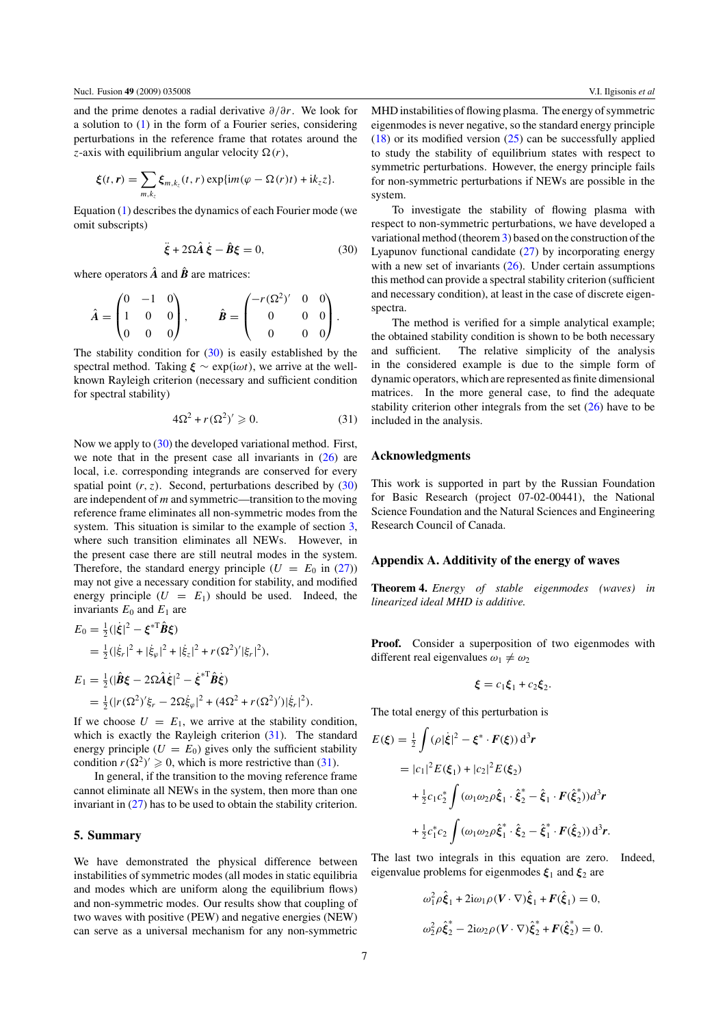<span id="page-7-0"></span>and the prime denotes a radial derivative *∂/∂r*. We look for a solution to [\(1\)](#page-2-0) in the form of a Fourier series, considering perturbations in the reference frame that rotates around the *z*-axis with equilibrium angular velocity  $\Omega(r)$ ,

$$
\xi(t,\mathbf{r})=\sum_{m,k_z}\xi_{m,k_z}(t,\mathbf{r})\exp\{im(\varphi-\Omega(\mathbf{r})t)+ik_zz\}.
$$

Equation [\(1\)](#page-2-0) describes the dynamics of each Fourier mode (we omit subscripts)

$$
\ddot{\xi} + 2\Omega \hat{A} \dot{\xi} - \hat{B}\xi = 0, \tag{30}
$$

where operators  $\hat{A}$  and  $\hat{B}$  are matrices:

$$
\hat{A} = \begin{pmatrix} 0 & -1 & 0 \\ 1 & 0 & 0 \\ 0 & 0 & 0 \end{pmatrix}, \qquad \hat{B} = \begin{pmatrix} -r(\Omega^2)' & 0 & 0 \\ 0 & 0 & 0 \\ 0 & 0 & 0 \end{pmatrix}.
$$

The stability condition for  $(30)$  is easily established by the spectral method. Taking  $\xi \sim \exp(i\omega t)$ , we arrive at the wellknown Rayleigh criterion (necessary and sufficient condition for spectral stability)

$$
4\Omega^2 + r(\Omega^2)' \geqslant 0. \tag{31}
$$

Now we apply to (30) the developed variational method. First, we note that in the present case all invariants in [\(26\)](#page-6-0) are local, i.e. corresponding integrands are conserved for every spatial point  $(r, z)$ . Second, perturbations described by  $(30)$ are independent of *m* and symmetric—transition to the moving reference frame eliminates all non-symmetric modes from the system. This situation is similar to the example of section [3,](#page-3-0) where such transition eliminates all NEWs. However, in the present case there are still neutral modes in the system. Therefore, the standard energy principle  $(U = E_0$  in [\(27\)](#page-6-0)) may not give a necessary condition for stability, and modified energy principle  $(U = E_1)$  should be used. Indeed, the invariants  $E_0$  and  $E_1$  are

$$
E_0 = \frac{1}{2} (|\dot{\xi}|^2 - {\xi}^{*T} \hat{B} \xi)
$$
  
\n
$$
= \frac{1}{2} (|\dot{\xi}_r|^2 + |\dot{\xi}_{\varphi}|^2 + |\dot{\xi}_z|^2 + r(\Omega^2)' |\xi_r|^2),
$$
  
\n
$$
E_1 = \frac{1}{2} (|\hat{B}\xi - 2\Omega \hat{A}\dot{\xi}|^2 - {\dot{\xi}}^{*T} \hat{B}\dot{\xi})
$$
  
\n
$$
= \frac{1}{2} (|r(\Omega^2)' \xi_r - 2\Omega \dot{\xi}_{\varphi}|^2 + (4\Omega^2 + r(\Omega^2)') |\dot{\xi}_r|^2).
$$

If we choose  $U = E_1$ , we arrive at the stability condition, which is exactly the Rayleigh criterion (31). The standard energy principle  $(U = E_0)$  gives only the sufficient stability condition  $r(\Omega^2)' \geq 0$ , which is more restrictive than (31).

In general, if the transition to the moving reference frame cannot eliminate all NEWs in the system, then more than one invariant in [\(27\)](#page-6-0) has to be used to obtain the stability criterion.

## **5. Summary**

We have demonstrated the physical difference between instabilities of symmetric modes (all modes in static equilibria and modes which are uniform along the equilibrium flows) and non-symmetric modes. Our results show that coupling of two waves with positive (PEW) and negative energies (NEW) can serve as a universal mechanism for any non-symmetric MHD instabilities of flowing plasma. The energy of symmetric eigenmodes is never negative, so the standard energy principle  $(18)$  or its modified version  $(25)$  can be successfully applied to study the stability of equilibrium states with respect to symmetric perturbations. However, the energy principle fails for non-symmetric perturbations if NEWs are possible in the system.

To investigate the stability of flowing plasma with respect to non-symmetric perturbations, we have developed a variational method (theorem [3\)](#page-6-0) based on the construction of the Lyapunov functional candidate [\(27\)](#page-6-0) by incorporating energy with a new set of invariants  $(26)$ . Under certain assumptions this method can provide a spectral stability criterion (sufficient and necessary condition), at least in the case of discrete eigenspectra.

The method is verified for a simple analytical example; the obtained stability condition is shown to be both necessary and sufficient. The relative simplicity of the analysis in the considered example is due to the simple form of dynamic operators, which are represented as finite dimensional matrices. In the more general case, to find the adequate stability criterion other integrals from the set  $(26)$  have to be included in the analysis.

## **Acknowledgments**

This work is supported in part by the Russian Foundation for Basic Research (project 07-02-00441), the National Science Foundation and the Natural Sciences and Engineering Research Council of Canada.

#### **Appendix A. Additivity of the energy of waves**

**Theorem 4.** *Energy of stable eigenmodes (waves) in linearized ideal MHD is additive.*

**Proof.** Consider a superposition of two eigenmodes with different real eigenvalues  $\omega_1 \neq \omega_2$ 

$$
\boldsymbol{\xi} = c_1 \boldsymbol{\xi}_1 + c_2 \boldsymbol{\xi}_2.
$$

The total energy of this perturbation is

$$
E(\xi) = \frac{1}{2} \int (\rho |\dot{\xi}|^2 - \xi^* \cdot F(\xi)) d^3 r
$$
  
=  $|c_1|^2 E(\xi_1) + |c_2|^2 E(\xi_2)$   
+  $\frac{1}{2} c_1 c_2^* \int (\omega_1 \omega_2 \rho \hat{\xi}_1 \cdot \hat{\xi}_2^* - \hat{\xi}_1 \cdot F(\hat{\xi}_2^*) d^3 r$   
+  $\frac{1}{2} c_1^* c_2 \int (\omega_1 \omega_2 \rho \hat{\xi}_1^* \cdot \hat{\xi}_2 - \hat{\xi}_1^* \cdot F(\hat{\xi}_2)) d^3 r.$ 

The last two integrals in this equation are zero. Indeed, eigenvalue problems for eigenmodes  $\xi_1$  and  $\xi_2$  are

$$
\omega_1^2 \rho \hat{\xi}_1 + 2i\omega_1 \rho (V \cdot \nabla) \hat{\xi}_1 + F(\hat{\xi}_1) = 0,
$$
  

$$
\omega_2^2 \rho \hat{\xi}_2^* - 2i\omega_2 \rho (V \cdot \nabla) \hat{\xi}_2^* + F(\hat{\xi}_2^*) = 0.
$$